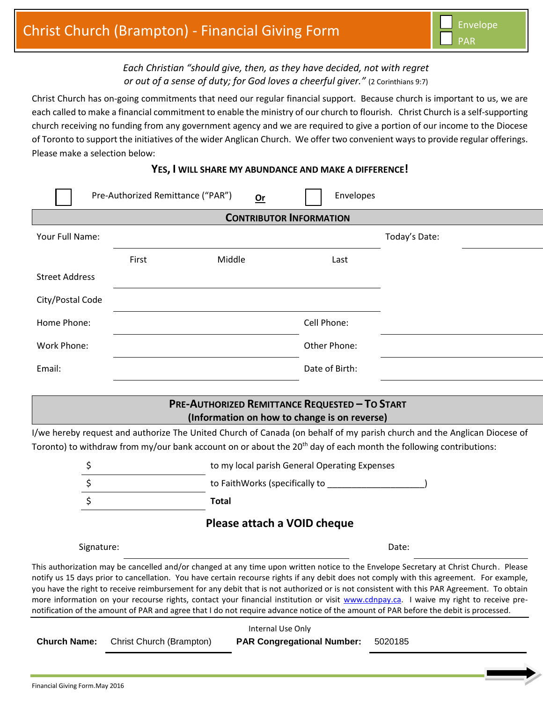## *Each Christian "should give, then, as they have decided, not with regret or out of a sense of duty; for God loves a cheerful giver."* (2 Corinthians 9:7)

Christ Church has on-going commitments that need our regular financial support. Because church is important to us, we are each called to make a financial commitment to enable the ministry of our church to flourish. Christ Church is a self-supporting church receiving no funding from any government agency and we are required to give a portion of our income to the Diocese of Toronto to support the initiatives of the wider Anglican Church. We offer two convenient ways to provide regular offerings. Please make a selection below:

|  |  |  |  |  | YES, I WILL SHARE MY ABUNDANCE AND MAKE A DIFFERENCE! |
|--|--|--|--|--|-------------------------------------------------------|
|--|--|--|--|--|-------------------------------------------------------|

|                                | Pre-Authorized Remittance ("PAR") | Or                                                                                                    | Envelopes                                                                                                                                                                                                                      |                                                                                                                                                                                                                                                                                                                                                                                                                                                                                                                                                                                                                                                                                                                |  |  |  |  |  |  |  |  |
|--------------------------------|-----------------------------------|-------------------------------------------------------------------------------------------------------|--------------------------------------------------------------------------------------------------------------------------------------------------------------------------------------------------------------------------------|----------------------------------------------------------------------------------------------------------------------------------------------------------------------------------------------------------------------------------------------------------------------------------------------------------------------------------------------------------------------------------------------------------------------------------------------------------------------------------------------------------------------------------------------------------------------------------------------------------------------------------------------------------------------------------------------------------------|--|--|--|--|--|--|--|--|
| <b>CONTRIBUTOR INFORMATION</b> |                                   |                                                                                                       |                                                                                                                                                                                                                                |                                                                                                                                                                                                                                                                                                                                                                                                                                                                                                                                                                                                                                                                                                                |  |  |  |  |  |  |  |  |
| Your Full Name:                |                                   |                                                                                                       |                                                                                                                                                                                                                                | Today's Date:                                                                                                                                                                                                                                                                                                                                                                                                                                                                                                                                                                                                                                                                                                  |  |  |  |  |  |  |  |  |
|                                | First                             | Middle                                                                                                | Last                                                                                                                                                                                                                           |                                                                                                                                                                                                                                                                                                                                                                                                                                                                                                                                                                                                                                                                                                                |  |  |  |  |  |  |  |  |
| <b>Street Address</b>          |                                   |                                                                                                       |                                                                                                                                                                                                                                |                                                                                                                                                                                                                                                                                                                                                                                                                                                                                                                                                                                                                                                                                                                |  |  |  |  |  |  |  |  |
| City/Postal Code               |                                   |                                                                                                       |                                                                                                                                                                                                                                |                                                                                                                                                                                                                                                                                                                                                                                                                                                                                                                                                                                                                                                                                                                |  |  |  |  |  |  |  |  |
| Home Phone:                    |                                   |                                                                                                       | Cell Phone:                                                                                                                                                                                                                    |                                                                                                                                                                                                                                                                                                                                                                                                                                                                                                                                                                                                                                                                                                                |  |  |  |  |  |  |  |  |
| Work Phone:                    |                                   |                                                                                                       | Other Phone:                                                                                                                                                                                                                   |                                                                                                                                                                                                                                                                                                                                                                                                                                                                                                                                                                                                                                                                                                                |  |  |  |  |  |  |  |  |
| Email:                         |                                   |                                                                                                       | Date of Birth:                                                                                                                                                                                                                 |                                                                                                                                                                                                                                                                                                                                                                                                                                                                                                                                                                                                                                                                                                                |  |  |  |  |  |  |  |  |
|                                |                                   |                                                                                                       |                                                                                                                                                                                                                                |                                                                                                                                                                                                                                                                                                                                                                                                                                                                                                                                                                                                                                                                                                                |  |  |  |  |  |  |  |  |
|                                |                                   | <b>PRE-AUTHORIZED REMITTANCE REQUESTED - TO START</b><br>(Information on how to change is on reverse) |                                                                                                                                                                                                                                |                                                                                                                                                                                                                                                                                                                                                                                                                                                                                                                                                                                                                                                                                                                |  |  |  |  |  |  |  |  |
|                                |                                   |                                                                                                       |                                                                                                                                                                                                                                | I/we hereby request and authorize The United Church of Canada (on behalf of my parish church and the Anglican Diocese of<br>Toronto) to withdraw from my/our bank account on or about the 20 <sup>th</sup> day of each month the following contributions:                                                                                                                                                                                                                                                                                                                                                                                                                                                      |  |  |  |  |  |  |  |  |
| \$                             |                                   |                                                                                                       | to my local parish General Operating Expenses                                                                                                                                                                                  |                                                                                                                                                                                                                                                                                                                                                                                                                                                                                                                                                                                                                                                                                                                |  |  |  |  |  |  |  |  |
| \$                             |                                   |                                                                                                       | to FaithWorks (specifically to subseted and the set of the set of the set of the set of the set of the set of the set of the set of the set of the set of the set of the set of the set of the set of the set of the set of th |                                                                                                                                                                                                                                                                                                                                                                                                                                                                                                                                                                                                                                                                                                                |  |  |  |  |  |  |  |  |
| \$                             |                                   | <b>Total</b>                                                                                          |                                                                                                                                                                                                                                |                                                                                                                                                                                                                                                                                                                                                                                                                                                                                                                                                                                                                                                                                                                |  |  |  |  |  |  |  |  |
| Please attach a VOID cheque    |                                   |                                                                                                       |                                                                                                                                                                                                                                |                                                                                                                                                                                                                                                                                                                                                                                                                                                                                                                                                                                                                                                                                                                |  |  |  |  |  |  |  |  |
| Signature:                     |                                   |                                                                                                       |                                                                                                                                                                                                                                | Date:                                                                                                                                                                                                                                                                                                                                                                                                                                                                                                                                                                                                                                                                                                          |  |  |  |  |  |  |  |  |
|                                |                                   |                                                                                                       |                                                                                                                                                                                                                                | This authorization may be cancelled and/or changed at any time upon written notice to the Envelope Secretary at Christ Church. Please<br>notify us 15 days prior to cancellation. You have certain recourse rights if any debit does not comply with this agreement. For example,<br>you have the right to receive reimbursement for any debit that is not authorized or is not consistent with this PAR Agreement. To obtain<br>more information on your recourse rights, contact your financial institution or visit www.cdnpay.ca. I waive my right to receive pre-<br>notification of the amount of PAR and agree that I do not require advance notice of the amount of PAR before the debit is processed. |  |  |  |  |  |  |  |  |

| <b>Church Name:</b> | Christ Church (Brampton) | <b>PAR Congregational Number:</b> | 5020185 |
|---------------------|--------------------------|-----------------------------------|---------|
|                     |                          |                                   |         |